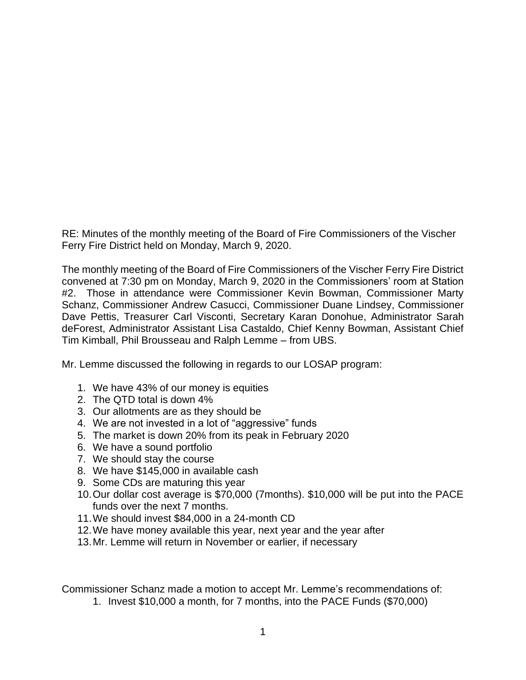RE: Minutes of the monthly meeting of the Board of Fire Commissioners of the Vischer Ferry Fire District held on Monday, March 9, 2020.

The monthly meeting of the Board of Fire Commissioners of the Vischer Ferry Fire District convened at 7:30 pm on Monday, March 9, 2020 in the Commissioners' room at Station #2. Those in attendance were Commissioner Kevin Bowman, Commissioner Marty Schanz, Commissioner Andrew Casucci, Commissioner Duane Lindsey, Commissioner Dave Pettis, Treasurer Carl Visconti, Secretary Karan Donohue, Administrator Sarah deForest, Administrator Assistant Lisa Castaldo, Chief Kenny Bowman, Assistant Chief Tim Kimball, Phil Brousseau and Ralph Lemme – from UBS.

Mr. Lemme discussed the following in regards to our LOSAP program:

- 1. We have 43% of our money is equities
- 2. The QTD total is down 4%
- 3. Our allotments are as they should be
- 4. We are not invested in a lot of "aggressive" funds
- 5. The market is down 20% from its peak in February 2020
- 6. We have a sound portfolio
- 7. We should stay the course
- 8. We have \$145,000 in available cash
- 9. Some CDs are maturing this year
- 10.Our dollar cost average is \$70,000 (7months). \$10,000 will be put into the PACE funds over the next 7 months.
- 11.We should invest \$84,000 in a 24-month CD
- 12.We have money available this year, next year and the year after
- 13.Mr. Lemme will return in November or earlier, if necessary

Commissioner Schanz made a motion to accept Mr. Lemme's recommendations of:

1. Invest \$10,000 a month, for 7 months, into the PACE Funds (\$70,000)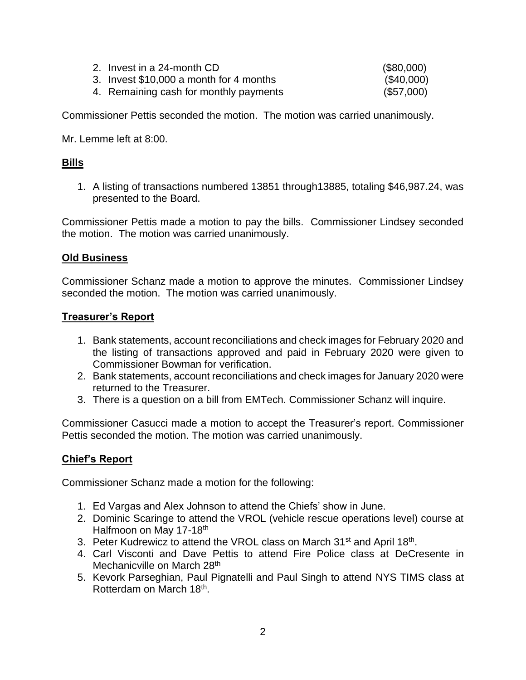| 2. Invest in a 24-month CD              | (\$80,000) |
|-----------------------------------------|------------|
| 3. Invest \$10,000 a month for 4 months | (\$40,000) |
| 4. Remaining cash for monthly payments  | (\$57,000) |

Commissioner Pettis seconded the motion. The motion was carried unanimously.

Mr. Lemme left at 8:00.

# **Bills**

1. A listing of transactions numbered 13851 through13885, totaling \$46,987.24, was presented to the Board.

Commissioner Pettis made a motion to pay the bills. Commissioner Lindsey seconded the motion. The motion was carried unanimously.

### **Old Business**

Commissioner Schanz made a motion to approve the minutes. Commissioner Lindsey seconded the motion. The motion was carried unanimously.

### **Treasurer's Report**

- 1. Bank statements, account reconciliations and check images for February 2020 and the listing of transactions approved and paid in February 2020 were given to Commissioner Bowman for verification.
- 2. Bank statements, account reconciliations and check images for January 2020 were returned to the Treasurer.
- 3. There is a question on a bill from EMTech. Commissioner Schanz will inquire.

Commissioner Casucci made a motion to accept the Treasurer's report. Commissioner Pettis seconded the motion. The motion was carried unanimously.

## **Chief's Report**

Commissioner Schanz made a motion for the following:

- 1. Ed Vargas and Alex Johnson to attend the Chiefs' show in June.
- 2. Dominic Scaringe to attend the VROL (vehicle rescue operations level) course at Halfmoon on May 17-18<sup>th</sup>
- 3. Peter Kudrewicz to attend the VROL class on March 31<sup>st</sup> and April 18<sup>th</sup>.
- 4. Carl Visconti and Dave Pettis to attend Fire Police class at DeCresente in Mechanicville on March 28<sup>th</sup>
- 5. Kevork Parseghian, Paul Pignatelli and Paul Singh to attend NYS TIMS class at Rotterdam on March 18<sup>th</sup>.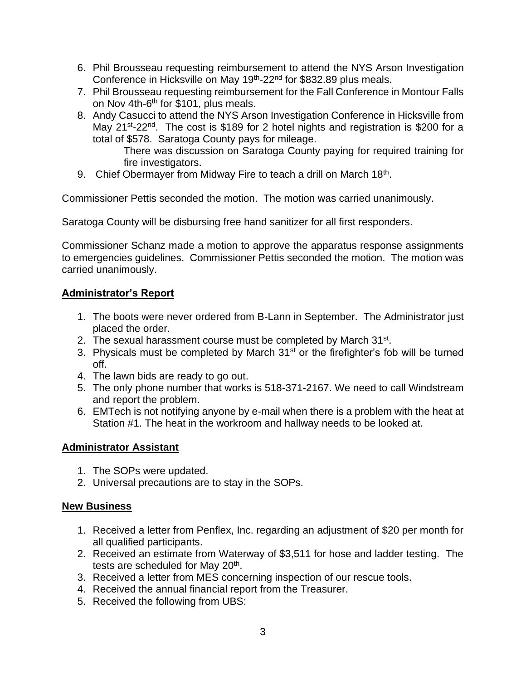- 6. Phil Brousseau requesting reimbursement to attend the NYS Arson Investigation Conference in Hicksville on May 19<sup>th</sup>-22<sup>nd</sup> for \$832.89 plus meals.
- 7. Phil Brousseau requesting reimbursement for the Fall Conference in Montour Falls on Nov 4th-6<sup>th</sup> for \$101, plus meals.
- 8. Andy Casucci to attend the NYS Arson Investigation Conference in Hicksville from May 21<sup>st</sup>-22<sup>nd</sup>. The cost is \$189 for 2 hotel nights and registration is \$200 for a total of \$578. Saratoga County pays for mileage.

There was discussion on Saratoga County paying for required training for fire investigators.

9. Chief Obermayer from Midway Fire to teach a drill on March 18<sup>th</sup>.

Commissioner Pettis seconded the motion. The motion was carried unanimously.

Saratoga County will be disbursing free hand sanitizer for all first responders.

Commissioner Schanz made a motion to approve the apparatus response assignments to emergencies guidelines. Commissioner Pettis seconded the motion. The motion was carried unanimously.

## **Administrator's Report**

- 1. The boots were never ordered from B-Lann in September. The Administrator just placed the order.
- 2. The sexual harassment course must be completed by March 31<sup>st</sup>.
- 3. Physicals must be completed by March  $31<sup>st</sup>$  or the firefighter's fob will be turned off.
- 4. The lawn bids are ready to go out.
- 5. The only phone number that works is 518-371-2167. We need to call Windstream and report the problem.
- 6. EMTech is not notifying anyone by e-mail when there is a problem with the heat at Station #1. The heat in the workroom and hallway needs to be looked at.

## **Administrator Assistant**

- 1. The SOPs were updated.
- 2. Universal precautions are to stay in the SOPs.

### **New Business**

- 1. Received a letter from Penflex, Inc. regarding an adjustment of \$20 per month for all qualified participants.
- 2. Received an estimate from Waterway of \$3,511 for hose and ladder testing. The tests are scheduled for May 20<sup>th</sup>.
- 3. Received a letter from MES concerning inspection of our rescue tools.
- 4. Received the annual financial report from the Treasurer.
- 5. Received the following from UBS: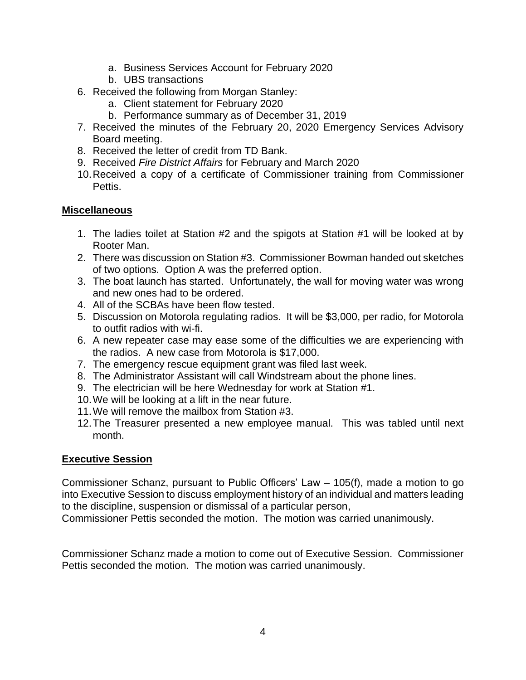- a. Business Services Account for February 2020
- b. UBS transactions
- 6. Received the following from Morgan Stanley:
	- a. Client statement for February 2020
	- b. Performance summary as of December 31, 2019
- 7. Received the minutes of the February 20, 2020 Emergency Services Advisory Board meeting.
- 8. Received the letter of credit from TD Bank.
- 9. Received *Fire District Affairs* for February and March 2020
- 10.Received a copy of a certificate of Commissioner training from Commissioner Pettis.

### **Miscellaneous**

- 1. The ladies toilet at Station #2 and the spigots at Station #1 will be looked at by Rooter Man.
- 2. There was discussion on Station #3. Commissioner Bowman handed out sketches of two options. Option A was the preferred option.
- 3. The boat launch has started. Unfortunately, the wall for moving water was wrong and new ones had to be ordered.
- 4. All of the SCBAs have been flow tested.
- 5. Discussion on Motorola regulating radios. It will be \$3,000, per radio, for Motorola to outfit radios with wi-fi.
- 6. A new repeater case may ease some of the difficulties we are experiencing with the radios. A new case from Motorola is \$17,000.
- 7. The emergency rescue equipment grant was filed last week.
- 8. The Administrator Assistant will call Windstream about the phone lines.
- 9. The electrician will be here Wednesday for work at Station #1.
- 10.We will be looking at a lift in the near future.
- 11.We will remove the mailbox from Station #3.
- 12.The Treasurer presented a new employee manual. This was tabled until next month.

### **Executive Session**

Commissioner Schanz, pursuant to Public Officers' Law – 105(f), made a motion to go into Executive Session to discuss employment history of an individual and matters leading to the discipline, suspension or dismissal of a particular person,

Commissioner Pettis seconded the motion. The motion was carried unanimously.

Commissioner Schanz made a motion to come out of Executive Session. Commissioner Pettis seconded the motion. The motion was carried unanimously.